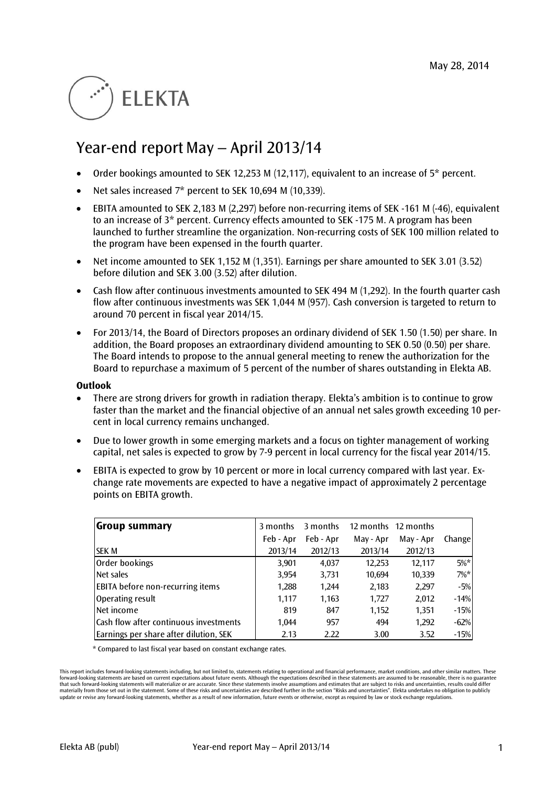# **ELEKTA**

# Year-end report May – April 2013/14

- Order bookings amounted to SEK 12,253 M (12,117), equivalent to an increase of 5\* percent.
- Net sales increased 7\* percent to SEK 10,694 M (10,339).
- EBITA amounted to SEK 2,183 M (2,297) before non-recurring items of SEK -161 M (-46), equivalent to an increase of 3\* percent. Currency effects amounted to SEK -175 M. A program has been launched to further streamline the organization. Non-recurring costs of SEK 100 million related to the program have been expensed in the fourth quarter.
- Net income amounted to SEK 1,152 M (1,351). Earnings per share amounted to SEK 3.01 (3.52) before dilution and SEK 3.00 (3.52) after dilution.
- Cash flow after continuous investments amounted to SEK 494 M (1,292). In the fourth quarter cash flow after continuous investments was SEK 1,044 M (957). Cash conversion is targeted to return to around 70 percent in fiscal year 2014/15.
- For 2013/14, the Board of Directors proposes an ordinary dividend of SEK 1.50 (1.50) per share. In addition, the Board proposes an extraordinary dividend amounting to SEK 0.50 (0.50) per share. The Board intends to propose to the annual general meeting to renew the authorization for the Board to repurchase a maximum of 5 percent of the number of shares outstanding in Elekta AB.

#### **Outlook**

- There are strong drivers for growth in radiation therapy. Elekta's ambition is to continue to grow faster than the market and the financial objective of an annual net sales growth exceeding 10 percent in local currency remains unchanged.
- Due to lower growth in some emerging markets and a focus on tighter management of working capital, net sales is expected to grow by 7-9 percent in local currency for the fiscal year 2014/15.
- EBITA is expected to grow by 10 percent or more in local currency compared with last year. Exchange rate movements are expected to have a negative impact of approximately 2 percentage points on EBITA growth.

| Group summary                           | 3 months  | 3 months  |           | 12 months 12 months |         |
|-----------------------------------------|-----------|-----------|-----------|---------------------|---------|
|                                         | Feb - Apr | Feb - Apr | May - Apr | May - Apr           | Change  |
| <b>SEK M</b>                            | 2013/14   | 2012/13   | 2013/14   | 2012/13             |         |
| Order bookings                          | 3,901     | 4,037     | 12,253    | 12,117              | $5\%$ * |
| Net sales                               | 3,954     | 3,731     | 10.694    | 10,339              | $7\%$ * |
| <b>EBITA</b> before non-recurring items | 1,288     | 1,244     | 2,183     | 2,297               | $-5%$   |
| Operating result                        | 1.117     | 1,163     | 1.727     | 2,012               | $-14%$  |
| Net income                              | 819       | 847       | 1,152     | 1,351               | $-15%$  |
| Cash flow after continuous investments  | 1.044     | 957       | 494       | 1,292               | $-62%$  |
| Earnings per share after dilution, SEK  | 2.13      | 2.22      | 3.00      | 3.52                | $-15%$  |

\* Compared to last fiscal year based on constant exchange rates.

This report includes forward-looking statements including, but not limited to, statements relating to operational and financial performance, market conditions, and other similar matters. These forward-looking statements are based on current expectations about future events. Although the expectations described in these statements are assumed to be reasonable, there is no guarantee that such forward-looking statements will materialize or are accurate. Since these statements involve assumptions and estimates that are subject to risks and uncertainties, results could differ materially from those set out in the statement. Some of these risks and uncertainties are described further in the section "Risks and uncertainties". Elekta undertakes no obligation to publicly update or revise any forward-looking statements, whether as a result of new information, future events or otherwise, except as required by law or stock exchange regulations.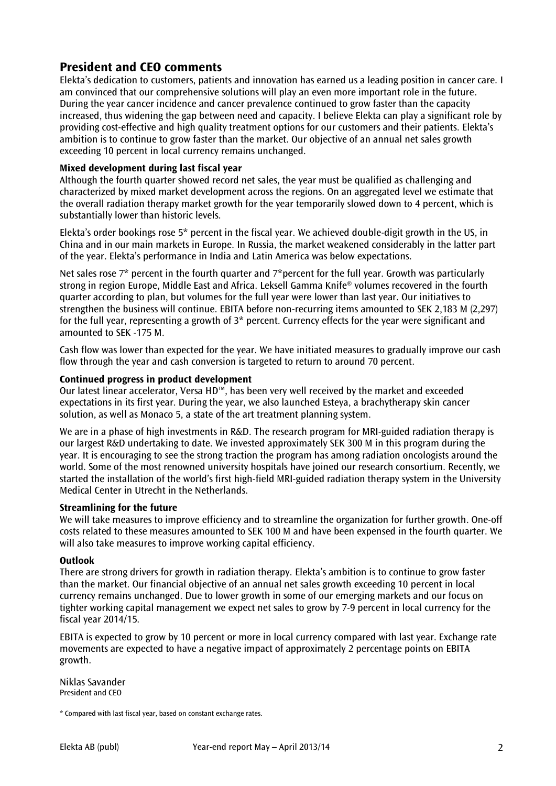# **President and CEO comments**

Elekta's dedication to customers, patients and innovation has earned us a leading position in cancer care. I am convinced that our comprehensive solutions will play an even more important role in the future. During the year cancer incidence and cancer prevalence continued to grow faster than the capacity increased, thus widening the gap between need and capacity. I believe Elekta can play a significant role by providing cost-effective and high quality treatment options for our customers and their patients. Elekta's ambition is to continue to grow faster than the market. Our objective of an annual net sales growth exceeding 10 percent in local currency remains unchanged.

# **Mixed development during last fiscal year**

Although the fourth quarter showed record net sales, the year must be qualified as challenging and characterized by mixed market development across the regions. On an aggregated level we estimate that the overall radiation therapy market growth for the year temporarily slowed down to 4 percent, which is substantially lower than historic levels.

Elekta's order bookings rose 5\* percent in the fiscal year. We achieved double-digit growth in the US, in China and in our main markets in Europe. In Russia, the market weakened considerably in the latter part of the year. Elekta's performance in India and Latin America was below expectations.

Net sales rose 7<sup>\*</sup> percent in the fourth quarter and 7<sup>\*</sup>percent for the full year. Growth was particularly strong in region Europe, Middle East and Africa. Leksell Gamma Knife® volumes recovered in the fourth quarter according to plan, but volumes for the full year were lower than last year. Our initiatives to strengthen the business will continue. EBITA before non-recurring items amounted to SEK 2,183 M (2,297) for the full year, representing a growth of 3\* percent. Currency effects for the year were significant and amounted to SEK -175 M.

Cash flow was lower than expected for the year. We have initiated measures to gradually improve our cash flow through the year and cash conversion is targeted to return to around 70 percent.

# **Continued progress in product development**

Our latest linear accelerator, Versa HD™, has been very well received by the market and exceeded expectations in its first year. During the year, we also launched Esteya, a brachytherapy skin cancer solution, as well as Monaco 5, a state of the art treatment planning system.

We are in a phase of high investments in R&D. The research program for MRI-guided radiation therapy is our largest R&D undertaking to date. We invested approximately SEK 300 M in this program during the year. It is encouraging to see the strong traction the program has among radiation oncologists around the world. Some of the most renowned university hospitals have joined our research consortium. Recently, we started the installation of the world's first high-field MRI-guided radiation therapy system in the University Medical Center in Utrecht in the Netherlands.

# **Streamlining for the future**

We will take measures to improve efficiency and to streamline the organization for further growth. One-off costs related to these measures amounted to SEK 100 M and have been expensed in the fourth quarter. We will also take measures to improve working capital efficiency.

# **Outlook**

There are strong drivers for growth in radiation therapy. Elekta's ambition is to continue to grow faster than the market. Our financial objective of an annual net sales growth exceeding 10 percent in local currency remains unchanged. Due to lower growth in some of our emerging markets and our focus on tighter working capital management we expect net sales to grow by 7-9 percent in local currency for the fiscal year 2014/15.

EBITA is expected to grow by 10 percent or more in local currency compared with last year. Exchange rate movements are expected to have a negative impact of approximately 2 percentage points on EBITA growth.

Niklas Savander President and CEO

<sup>\*</sup> Compared with last fiscal year, based on constant exchange rates.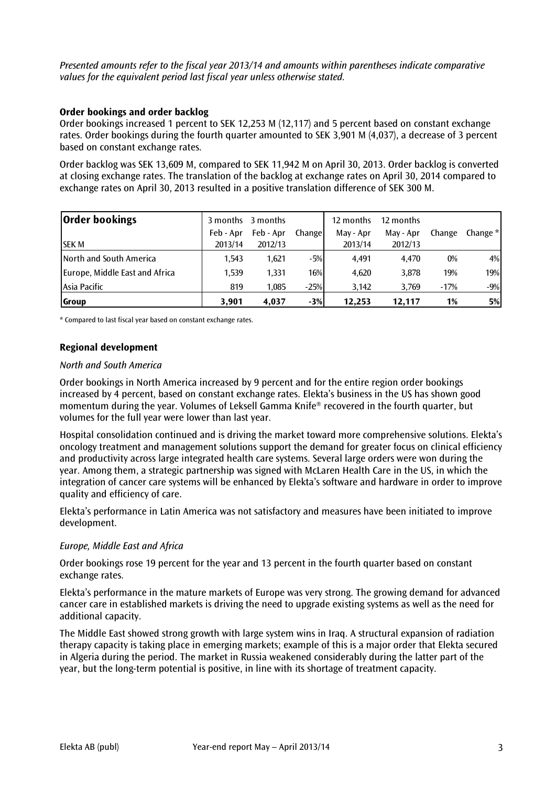*Presented amounts refer to the fiscal year 2013/14 and amounts within parentheses indicate comparative values for the equivalent period last fiscal year unless otherwise stated.*

### **Order bookings and order backlog**

Order bookings increased 1 percent to SEK 12,253 M (12,117) and 5 percent based on constant exchange rates. Order bookings during the fourth quarter amounted to SEK 3,901 M (4,037), a decrease of 3 percent based on constant exchange rates.

Order backlog was SEK 13,609 M, compared to SEK 11,942 M on April 30, 2013. Order backlog is converted at closing exchange rates. The translation of the backlog at exchange rates on April 30, 2014 compared to exchange rates on April 30, 2013 resulted in a positive translation difference of SEK 300 M.

| <b>Order bookings</b>          |           | 3 months 3 months |         | 12 months | 12 months |        |          |
|--------------------------------|-----------|-------------------|---------|-----------|-----------|--------|----------|
|                                | Feb - Apr | Feb - Apr         | Changel | May - Apr | May - Apr | Change | Change * |
| <b>SEK M</b>                   | 2013/14   | 2012/13           |         | 2013/14   | 2012/13   |        |          |
| North and South America        | 1.543     | 1,621             | $-5%$   | 4.491     | 4.470     | $0\%$  | 4%       |
| Europe, Middle East and Africa | 1,539     | 1,331             | 16%     | 4.620     | 3,878     | 19%    | 19%      |
| Asia Pacific                   | 819       | 1.085             | $-25%$  | 3.142     | 3.769     | $-17%$ | $-9%$    |
| Group                          | 3.901     | 4.037             | $-3%$   | 12.253    | 12.117    | 1%     | 5%       |

\* Compared to last fiscal year based on constant exchange rates.

### **Regional development**

#### *North and South America*

Order bookings in North America increased by 9 percent and for the entire region order bookings increased by 4 percent, based on constant exchange rates. Elekta's business in the US has shown good momentum during the year. Volumes of Leksell Gamma Knife® recovered in the fourth quarter, but volumes for the full year were lower than last year.

Hospital consolidation continued and is driving the market toward more comprehensive solutions. Elekta's oncology treatment and management solutions support the demand for greater focus on clinical efficiency and productivity across large integrated health care systems. Several large orders were won during the year. Among them, a strategic partnership was signed with McLaren Health Care in the US, in which the integration of cancer care systems will be enhanced by Elekta's software and hardware in order to improve quality and efficiency of care.

Elekta's performance in Latin America was not satisfactory and measures have been initiated to improve development.

#### *Europe, Middle East and Africa*

Order bookings rose 19 percent for the year and 13 percent in the fourth quarter based on constant exchange rates.

Elekta's performance in the mature markets of Europe was very strong. The growing demand for advanced cancer care in established markets is driving the need to upgrade existing systems as well as the need for additional capacity.

The Middle East showed strong growth with large system wins in Iraq. A structural expansion of radiation therapy capacity is taking place in emerging markets; example of this is a major order that Elekta secured in Algeria during the period. The market in Russia weakened considerably during the latter part of the year, but the long-term potential is positive, in line with its shortage of treatment capacity.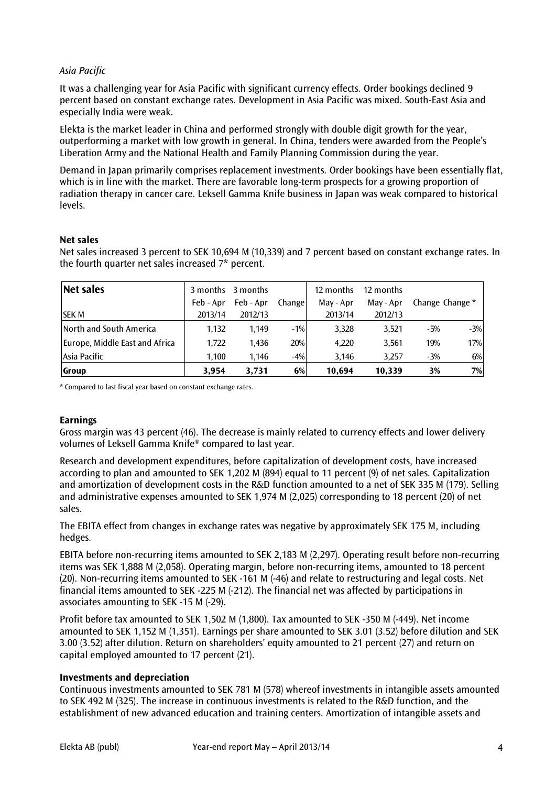# *Asia Pacific*

It was a challenging year for Asia Pacific with significant currency effects. Order bookings declined 9 percent based on constant exchange rates. Development in Asia Pacific was mixed. South-East Asia and especially India were weak.

Elekta is the market leader in China and performed strongly with double digit growth for the year, outperforming a market with low growth in general. In China, tenders were awarded from the People's Liberation Army and the National Health and Family Planning Commission during the year.

Demand in Japan primarily comprises replacement investments. Order bookings have been essentially flat, which is in line with the market. There are favorable long-term prospects for a growing proportion of radiation therapy in cancer care. Leksell Gamma Knife business in Japan was weak compared to historical levels.

# **Net sales**

Net sales increased 3 percent to SEK 10,694 M (10,339) and 7 percent based on constant exchange rates. In the fourth quarter net sales increased 7\* percent.

| Net sales                      |           | 3 months 3 months |         | 12 months | 12 months |                 |       |
|--------------------------------|-----------|-------------------|---------|-----------|-----------|-----------------|-------|
|                                | Feb - Apr | Feb - Apr         | Changel | May - Apr | May - Apr | Change Change * |       |
| <b>SEK M</b>                   | 2013/14   | 2012/13           |         | 2013/14   | 2012/13   |                 |       |
| North and South America        | 1,132     | 1,149             | $-1%$   | 3,328     | 3,521     | $-5%$           | $-3%$ |
| Europe, Middle East and Africa | 1,722     | 1.436             | 20%     | 4,220     | 3,561     | 19%             | 17%   |
| Asia Pacific                   | 1,100     | 1,146             | $-4%$   | 3,146     | 3,257     | $-3%$           | 6%    |
| <b>Group</b>                   | 3,954     | 3,731             | 6%      | 10.694    | 10.339    | 3%              | 7%    |

\* Compared to last fiscal year based on constant exchange rates.

# **Earnings**

Gross margin was 43 percent (46). The decrease is mainly related to currency effects and lower delivery volumes of Leksell Gamma Knife® compared to last year.

Research and development expenditures, before capitalization of development costs, have increased according to plan and amounted to SEK 1,202 M (894) equal to 11 percent (9) of net sales. Capitalization and amortization of development costs in the R&D function amounted to a net of SEK 335 M (179). Selling and administrative expenses amounted to SEK 1,974 M (2,025) corresponding to 18 percent (20) of net sales.

The EBITA effect from changes in exchange rates was negative by approximately SEK 175 M, including hedges.

EBITA before non-recurring items amounted to SEK 2,183 M (2,297). Operating result before non-recurring items was SEK 1,888 M (2,058). Operating margin, before non-recurring items, amounted to 18 percent (20). Non-recurring items amounted to SEK -161 M (-46) and relate to restructuring and legal costs. Net financial items amounted to SEK -225 M (-212). The financial net was affected by participations in associates amounting to SEK -15 M (-29).

Profit before tax amounted to SEK 1,502 M (1,800). Tax amounted to SEK -350 M (-449). Net income amounted to SEK 1,152 M (1,351). Earnings per share amounted to SEK 3.01 (3.52) before dilution and SEK 3.00 (3.52) after dilution. Return on shareholders' equity amounted to 21 percent (27) and return on capital employed amounted to 17 percent (21).

#### **Investments and depreciation**

Continuous investments amounted to SEK 781 M (578) whereof investments in intangible assets amounted to SEK 492 M (325). The increase in continuous investments is related to the R&D function, and the establishment of new advanced education and training centers. Amortization of intangible assets and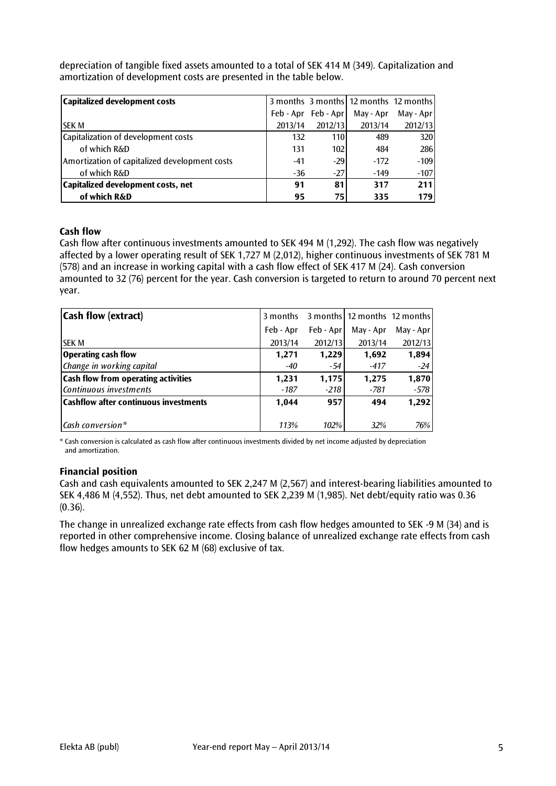depreciation of tangible fixed assets amounted to a total of SEK 414 M (349). Capitalization and amortization of development costs are presented in the table below.

| Capitalized development costs                 |         |                     |           | 3 months 3 months 12 months 12 months |
|-----------------------------------------------|---------|---------------------|-----------|---------------------------------------|
|                                               |         | Feb - Apr Feb - Apr | May - Apr | May - Apr                             |
| <b>SEK M</b>                                  | 2013/14 | 2012/13             | 2013/14   | 2012/13                               |
| Capitalization of development costs           | 132     | 110I                | 489       | 320                                   |
| of which R&D                                  | 131     | 1021                | 484       | 286                                   |
| Amortization of capitalized development costs | $-41$   | $-29$               | $-172$    | $-109$                                |
| of which R&D                                  | $-36$   | $-27$               | $-149$    | $-107$                                |
| Capitalized development costs, net            | 91      | 81                  | 317       | 211                                   |
| of which R&D                                  | 95      | 75 I                | 335       | 179                                   |

#### **Cash flow**

Cash flow after continuous investments amounted to SEK 494 M (1,292). The cash flow was negatively affected by a lower operating result of SEK 1,727 M (2,012), higher continuous investments of SEK 781 M (578) and an increase in working capital with a cash flow effect of SEK 417 M (24). Cash conversion amounted to 32 (76) percent for the year. Cash conversion is targeted to return to around 70 percent next year.

| Cash flow (extract)                          | 3 months  |            | 3 months 12 months 12 months |           |
|----------------------------------------------|-----------|------------|------------------------------|-----------|
|                                              | Feb - Apr | Feb - Apr! | May - Apr                    | May - Apr |
| <b>SEK M</b>                                 | 2013/14   | 2012/13    | 2013/14                      | 2012/13   |
| <b>Operating cash flow</b>                   | 1,271     | 1,229      | 1,692                        | 1,894     |
| Change in working capital                    | $-40$     | -54        | -417                         | $-24$     |
| <b>Cash flow from operating activities</b>   | 1,231     | 1,175      | 1,275                        | 1,870     |
| Continuous investments                       | $-187$    | $-218$     | $-781$                       | $-578$    |
| <b>Cashflow after continuous investments</b> | 1,044     | 957        | 494                          | 1,292     |
|                                              |           |            |                              |           |
| $\mathsf{Cash}\,\mathit{conversion*}$        | 113%      | 102%       | 32%                          | 76%       |

\* Cash conversion is calculated as cash flow after continuous investments divided by net income adjusted by depreciation and amortization.

#### **Financial position**

Cash and cash equivalents amounted to SEK 2,247 M (2,567) and interest-bearing liabilities amounted to SEK 4,486 M (4,552). Thus, net debt amounted to SEK 2,239 M (1,985). Net debt/equity ratio was 0.36  $(0.36)$ .

The change in unrealized exchange rate effects from cash flow hedges amounted to SEK -9 M (34) and is reported in other comprehensive income. Closing balance of unrealized exchange rate effects from cash flow hedges amounts to SEK 62 M (68) exclusive of tax.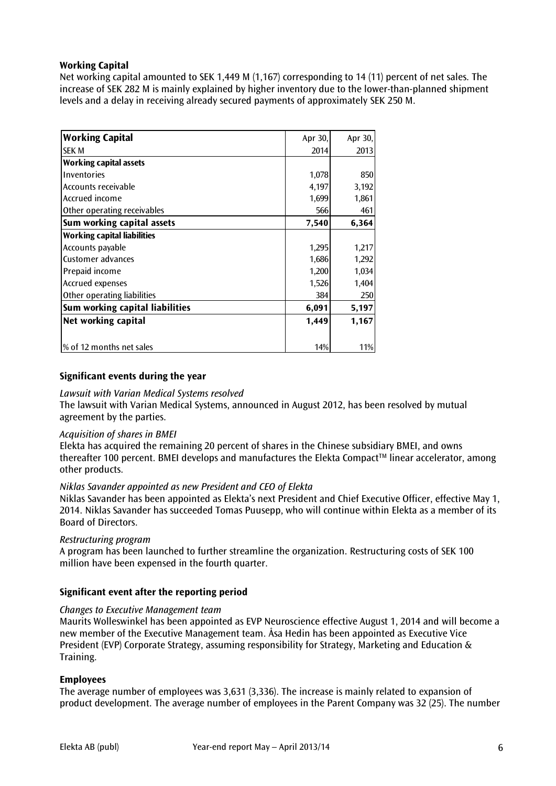# **Working Capital**

Net working capital amounted to SEK 1,449 M (1,167) corresponding to 14 (11) percent of net sales. The increase of SEK 282 M is mainly explained by higher inventory due to the lower-than-planned shipment levels and a delay in receiving already secured payments of approximately SEK 250 M.

| Apr 30, | Apr 30, |
|---------|---------|
| 2014    | 2013    |
|         |         |
| 1,078   | 850     |
| 4,197   | 3,192   |
| 1,699   | 1,861   |
| 566     | 461     |
| 7,540   | 6,364   |
|         |         |
| 1,295   | 1,217   |
| 1,686   | 1,292   |
| 1,200   | 1,034   |
| 1,526   | 1,404   |
| 384     | 250     |
| 6,091   | 5,197   |
| 1,449   | 1,167   |
|         | 11%     |
|         | 14%     |

### **Significant events during the year**

#### *Lawsuit with Varian Medical Systems resolved*

The lawsuit with Varian Medical Systems, announced in August 2012, has been resolved by mutual agreement by the parties.

#### *Acquisition of shares in BMEI*

Elekta has acquired the remaining 20 percent of shares in the Chinese subsidiary BMEI, and owns thereafter 100 percent. BMEI develops and manufactures the Elekta Compact™ linear accelerator, among other products.

#### *Niklas Savander appointed as new President and CEO of Elekta*

Niklas Savander has been appointed as Elekta's next President and Chief Executive Officer, effective May 1, 2014. Niklas Savander has succeeded Tomas Puusepp, who will continue within Elekta as a member of its Board of Directors.

#### *Restructuring program*

A program has been launched to further streamline the organization. Restructuring costs of SEK 100 million have been expensed in the fourth quarter.

#### **Significant event after the reporting period**

#### *Changes to Executive Management team*

Maurits Wolleswinkel has been appointed as EVP Neuroscience effective August 1, 2014 and will become a new member of the Executive Management team. Åsa Hedin has been appointed as Executive Vice President (EVP) Corporate Strategy, assuming responsibility for Strategy, Marketing and Education  $\&$ Training.

#### **Employees**

The average number of employees was 3,631 (3,336). The increase is mainly related to expansion of product development. The average number of employees in the Parent Company was 32 (25). The number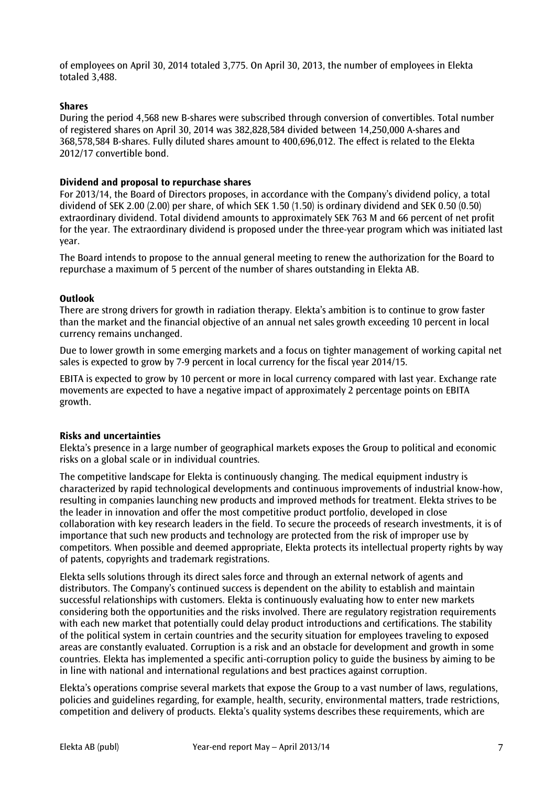of employees on April 30, 2014 totaled 3,775. On April 30, 2013, the number of employees in Elekta totaled 3,488.

#### **Shares**

During the period 4,568 new B-shares were subscribed through conversion of convertibles. Total number of registered shares on April 30, 2014 was 382,828,584 divided between 14,250,000 A-shares and 368,578,584 B-shares. Fully diluted shares amount to 400,696,012. The effect is related to the Elekta 2012/17 convertible bond.

#### **Dividend and proposal to repurchase shares**

For 2013/14, the Board of Directors proposes, in accordance with the Company's dividend policy, a total dividend of SEK 2.00 (2.00) per share, of which SEK 1.50 (1.50) is ordinary dividend and SEK 0.50 (0.50) extraordinary dividend. Total dividend amounts to approximately SEK 763 M and 66 percent of net profit for the year. The extraordinary dividend is proposed under the three-year program which was initiated last year.

The Board intends to propose to the annual general meeting to renew the authorization for the Board to repurchase a maximum of 5 percent of the number of shares outstanding in Elekta AB.

#### **Outlook**

There are strong drivers for growth in radiation therapy. Elekta's ambition is to continue to grow faster than the market and the financial objective of an annual net sales growth exceeding 10 percent in local currency remains unchanged.

Due to lower growth in some emerging markets and a focus on tighter management of working capital net sales is expected to grow by 7-9 percent in local currency for the fiscal year 2014/15.

EBITA is expected to grow by 10 percent or more in local currency compared with last year. Exchange rate movements are expected to have a negative impact of approximately 2 percentage points on EBITA growth.

#### **Risks and uncertainties**

Elekta's presence in a large number of geographical markets exposes the Group to political and economic risks on a global scale or in individual countries.

The competitive landscape for Elekta is continuously changing. The medical equipment industry is characterized by rapid technological developments and continuous improvements of industrial know-how, resulting in companies launching new products and improved methods for treatment. Elekta strives to be the leader in innovation and offer the most competitive product portfolio, developed in close collaboration with key research leaders in the field. To secure the proceeds of research investments, it is of importance that such new products and technology are protected from the risk of improper use by competitors. When possible and deemed appropriate, Elekta protects its intellectual property rights by way of patents, copyrights and trademark registrations.

Elekta sells solutions through its direct sales force and through an external network of agents and distributors. The Company's continued success is dependent on the ability to establish and maintain successful relationships with customers. Elekta is continuously evaluating how to enter new markets considering both the opportunities and the risks involved. There are regulatory registration requirements with each new market that potentially could delay product introductions and certifications. The stability of the political system in certain countries and the security situation for employees traveling to exposed areas are constantly evaluated. Corruption is a risk and an obstacle for development and growth in some countries. Elekta has implemented a specific anti-corruption policy to guide the business by aiming to be in line with national and international regulations and best practices against corruption.

Elekta's operations comprise several markets that expose the Group to a vast number of laws, regulations, policies and guidelines regarding, for example, health, security, environmental matters, trade restrictions, competition and delivery of products. Elekta's quality systems describes these requirements, which are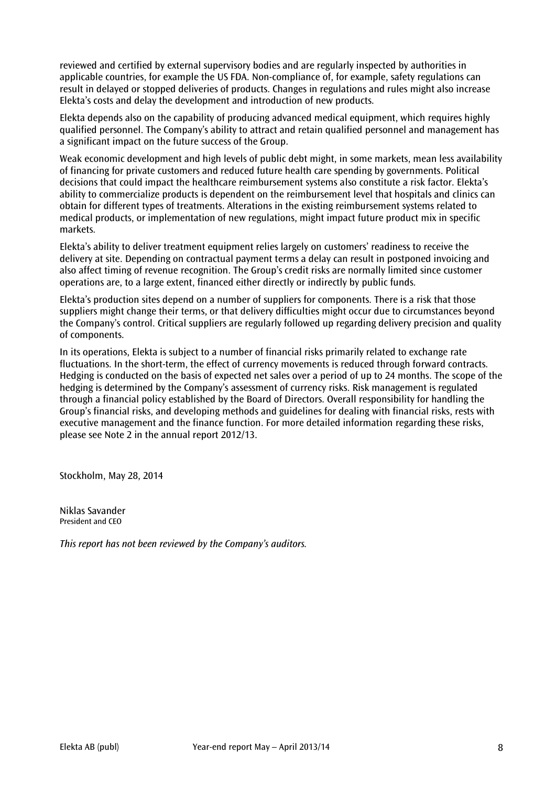reviewed and certified by external supervisory bodies and are regularly inspected by authorities in applicable countries, for example the US FDA. Non-compliance of, for example, safety regulations can result in delayed or stopped deliveries of products. Changes in regulations and rules might also increase Elekta's costs and delay the development and introduction of new products.

Elekta depends also on the capability of producing advanced medical equipment, which requires highly qualified personnel. The Company's ability to attract and retain qualified personnel and management has a significant impact on the future success of the Group.

Weak economic development and high levels of public debt might, in some markets, mean less availability of financing for private customers and reduced future health care spending by governments. Political decisions that could impact the healthcare reimbursement systems also constitute a risk factor. Elekta's ability to commercialize products is dependent on the reimbursement level that hospitals and clinics can obtain for different types of treatments. Alterations in the existing reimbursement systems related to medical products, or implementation of new regulations, might impact future product mix in specific markets.

Elekta's ability to deliver treatment equipment relies largely on customers' readiness to receive the delivery at site. Depending on contractual payment terms a delay can result in postponed invoicing and also affect timing of revenue recognition. The Group's credit risks are normally limited since customer operations are, to a large extent, financed either directly or indirectly by public funds.

Elekta's production sites depend on a number of suppliers for components. There is a risk that those suppliers might change their terms, or that delivery difficulties might occur due to circumstances beyond the Company's control. Critical suppliers are regularly followed up regarding delivery precision and quality of components.

In its operations, Elekta is subject to a number of financial risks primarily related to exchange rate fluctuations. In the short-term, the effect of currency movements is reduced through forward contracts. Hedging is conducted on the basis of expected net sales over a period of up to 24 months. The scope of the hedging is determined by the Company's assessment of currency risks. Risk management is regulated through a financial policy established by the Board of Directors. Overall responsibility for handling the Group's financial risks, and developing methods and guidelines for dealing with financial risks, rests with executive management and the finance function. For more detailed information regarding these risks, please see Note 2 in the annual report 2012/13.

Stockholm, May 28, 2014

Niklas Savander President and CEO

*This report has not been reviewed by the Company's auditors.*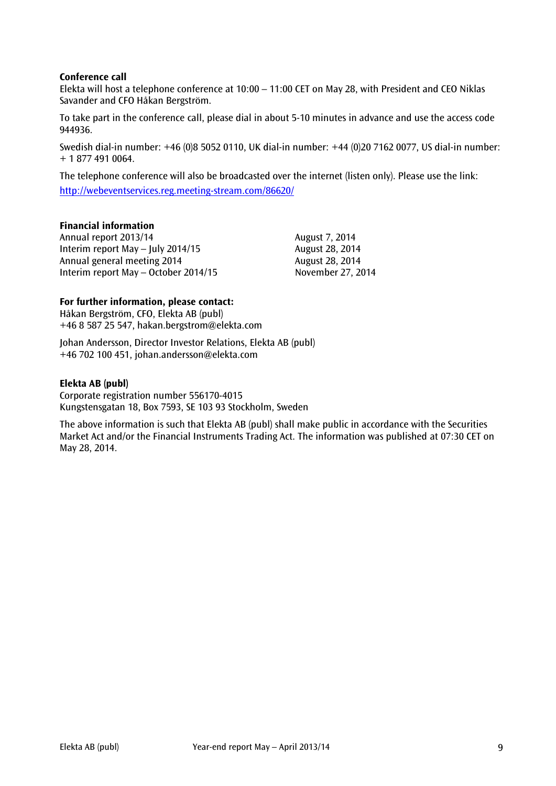### **Conference call**

Elekta will host a telephone conference at 10:00 – 11:00 CET on May 28, with President and CEO Niklas Savander and CFO Håkan Bergström.

To take part in the conference call, please dial in about 5-10 minutes in advance and use the access code 944936.

Swedish dial-in number: +46 (0)8 5052 0110, UK dial-in number: +44 (0)20 7162 0077, US dial-in number: + 1 877 491 0064.

The telephone conference will also be broadcasted over the internet (listen only). Please use the link: <http://webeventservices.reg.meeting-stream.com/86620/>

#### **Financial information**

Annual report 2013/14 August 7, 2014 Interim report May – July 2014/15 August 28, 2014 Annual general meeting 2014 and the contract August 28, 2014 Interim report May – October 2014/15 November 27, 2014

#### **For further information, please contact:**

Håkan Bergström, CFO, Elekta AB (publ) +46 8 587 25 547, hakan.bergstrom@elekta.com

Johan Andersson, Director Investor Relations, Elekta AB (publ) +46 702 100 451, [johan.andersson@elekta.com](mailto:johan.anderssonmelbi@elekta.com)

#### **Elekta AB (publ)**

Corporate registration number 556170-4015 Kungstensgatan 18, Box 7593, SE 103 93 Stockholm, Sweden

The above information is such that Elekta AB (publ) shall make public in accordance with the Securities Market Act and/or the Financial Instruments Trading Act. The information was published at 07:30 CET on May 28, 2014.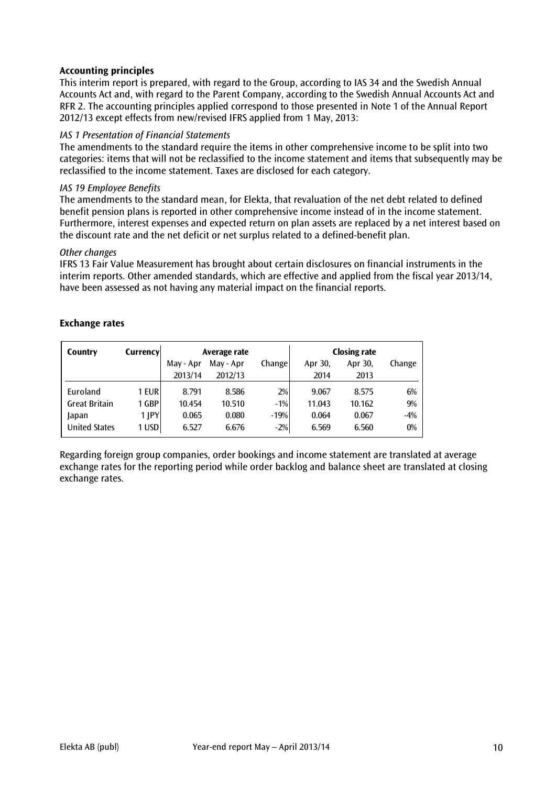# **Accounting principles**

This interim report is prepared, with regard to the Group, according to IAS 34 and the Swedish Annual Accounts Act and, with regard to the Parent Company, according to the Swedish Annual Accounts Act and RFR 2. The accounting principles applied correspond to those presented in Note 1 of the Annual Report 2012/13 except effects from new/revised IFRS applied from 1 May, 2013:

### *IAS 1 Presentation of Financial Statements*

The amendments to the standard require the items in other comprehensive income to be split into two categories: items that will not be reclassified to the income statement and items that subsequently may be reclassified to the income statement. Taxes are disclosed for each category.

#### *IAS 19 Employee Benefits*

The amendments to the standard mean, for Elekta, that revaluation of the net debt related to defined benefit pension plans is reported in other comprehensive income instead of in the income statement. Furthermore, interest expenses and expected return on plan assets are replaced by a net interest based on the discount rate and the net deficit or net surplus related to a defined-benefit plan.

#### *Other changes*

IFRS 13 Fair Value Measurement has brought about certain disclosures on financial instruments in the interim reports. Other amended standards, which are effective and applied from the fiscal year 2013/14, have been assessed as not having any material impact on the financial reports.

### **Exchange rates**

| Country              | Currencyl  | Average rate |           |        |         | <b>Closing rate</b> |        |
|----------------------|------------|--------------|-----------|--------|---------|---------------------|--------|
|                      |            | May - Apr    | May - Apr | Change | Apr 30, | Apr 30,             | Change |
|                      |            | 2013/14      | 2012/13   |        | 2014    | 2013                |        |
| Euroland             | 1 EUR      | 8.791        | 8.586     | 2%     | 9.067   | 8.575               | 6%     |
| <b>Great Britain</b> | <b>GBP</b> | 10.454       | 10.510    | $-1%$  | 11.043  | 10.162              | 9%     |
| Japan                | $1$ $ PY $ | 0.065        | 0.080     | $-19%$ | 0.064   | 0.067               | $-4%$  |
| <b>United States</b> | 1 USD      | 6.527        | 6.676     | $-2%$  | 6.569   | 6.560               | 0%     |

Regarding foreign group companies, order bookings and income statement are translated at average exchange rates for the reporting period while order backlog and balance sheet are translated at closing exchange rates.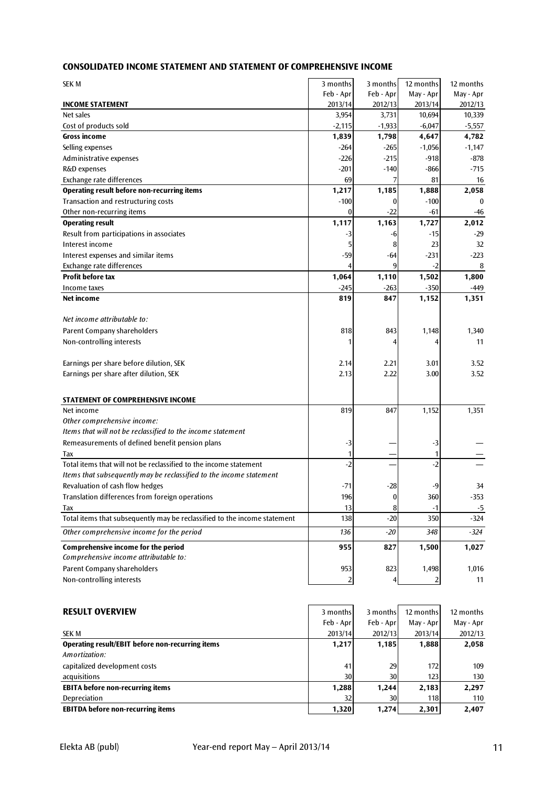# **CONSOLIDATED INCOME STATEMENT AND STATEMENT OF COMPREHENSIVE INCOME**

| SEK M                                                                     | 3 months       | 3 months  | 12 months      | 12 months |
|---------------------------------------------------------------------------|----------------|-----------|----------------|-----------|
|                                                                           | Feb - Apr      | Feb - Apr | May - Apr      | May - Apr |
| <b>INCOME STATEMENT</b>                                                   | 2013/14        | 2012/13   | 2013/14        | 2012/13   |
| Net sales                                                                 | 3,954          | 3,731     | 10,694         | 10,339    |
| Cost of products sold                                                     | $-2,115$       | $-1,933$  | $-6,047$       | $-5,557$  |
| <b>Gross income</b>                                                       | 1,839          | 1,798     | 4,647          | 4,782     |
| Selling expenses                                                          | $-264$         | $-265$    | $-1,056$       | $-1,147$  |
| Administrative expenses                                                   | $-226$         | $-215$    | $-918$         | $-878$    |
| R&D expenses                                                              | $-201$         | $-140$    | $-866$         | $-715$    |
| Exchange rate differences                                                 | 69             |           | 81             | 16        |
| <b>Operating result before non-recurring items</b>                        | 1,217          | 1,185     | 1,888          | 2,058     |
| Transaction and restructuring costs                                       | $-100$         | 0         | $-100$         | $\bf{0}$  |
| Other non-recurring items                                                 | 0              | -22       | -61            | -46       |
| <b>Operating result</b>                                                   | 1,117          | 1,163     | 1,727          | 2,012     |
| Result from participations in associates                                  | -3             | -6        | -15            | $-29$     |
| Interest income                                                           | 5              | 8         | 23             | 32        |
| Interest expenses and similar items                                       | $-59$          | -64       | $-231$         | $-223$    |
| Exchange rate differences                                                 | 4              | 9         | $-2$           | 8         |
| <b>Profit before tax</b>                                                  | 1,064          | 1,110     | 1,502          | 1,800     |
| Income taxes                                                              | $-245$         | $-263$    | $-350$         | -449      |
| Net income                                                                | 819            | 847       | 1,152          | 1,351     |
| Net income attributable to:                                               |                |           |                |           |
|                                                                           |                |           |                |           |
| Parent Company shareholders                                               | 818            | 843       | 1,148          | 1,340     |
| Non-controlling interests                                                 | 1              |           | 4              | 11        |
| Earnings per share before dilution, SEK                                   | 2.14           | 2.21      | 3.01           | 3.52      |
| Earnings per share after dilution, SEK                                    | 2.13           | 2.22      | 3.00           | 3.52      |
|                                                                           |                |           |                |           |
| <b>STATEMENT OF COMPREHENSIVE INCOME</b>                                  |                |           |                |           |
| Net income                                                                | 819            | 847       | 1,152          | 1,351     |
| Other comprehensive income:                                               |                |           |                |           |
| Items that will not be reclassified to the income statement               |                |           |                |           |
| Remeasurements of defined benefit pension plans                           | -3             |           | -3             |           |
| Tax                                                                       | 1              |           | 1              |           |
| Total items that will not be reclassified to the income statement         | $-2$           |           | $-2$           |           |
| Items that subsequently may be reclassified to the income statement       |                |           |                |           |
| Revaluation of cash flow hedges                                           | $-71$          | $-28$     | -9             | 34        |
| Translation differences from foreign operations                           | 196            | 0         | 360            | -353      |
| Tax                                                                       | 13             | 8         | $-1$           | -5        |
| Total items that subsequently may be reclassified to the income statement | 138            | $-20$     | 350            | $-324$    |
| Other comprehensive income for the period                                 | 136            | $-20$     | 348            | $-324$    |
| Comprehensive income for the period                                       | 955            | 827       | 1,500          | 1,027     |
| Comprehensive income attributable to:                                     |                |           |                |           |
| Parent Company shareholders                                               | 953            | 823       | 1,498          | 1,016     |
| Non-controlling interests                                                 | $\overline{2}$ |           | $\overline{2}$ | 11        |
|                                                                           |                |           |                |           |
|                                                                           |                |           |                |           |

| <b>RESULT OVERVIEW</b>                           | 3 months  | 3 months  | 12 months | 12 months |
|--------------------------------------------------|-----------|-----------|-----------|-----------|
|                                                  | Feb - Apr | Feb - Apr | May - Apr | May - Apr |
| <b>SEK M</b>                                     | 2013/14   | 2012/13   | 2013/14   | 2012/13   |
| Operating result/EBIT before non-recurring items | 1,217     | 1,185     | 1,888     | 2,058     |
| Amortization:                                    |           |           |           |           |
| capitalized development costs                    | 41        | 29        | 172       | 109       |
| acquisitions                                     | 30        | 30        | 123       | 130       |
| <b>EBITA before non-recurring items</b>          | 1,288     | 1,244     | 2,183     | 2,297     |
| Depreciation                                     | 32        | 30        | 118       | 110       |
| <b>EBITDA before non-recurring items</b>         | 1,320     | 1,274     | 2,301     | 2,407     |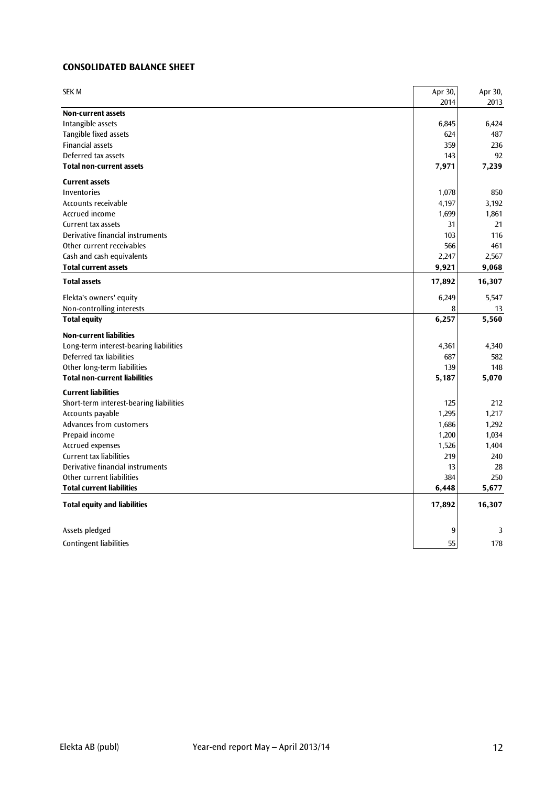# **CONSOLIDATED BALANCE SHEET**

| <b>SEK M</b>                            | Apr 30, | Apr 30, |
|-----------------------------------------|---------|---------|
|                                         | 2014    | 2013    |
| <b>Non-current assets</b>               |         |         |
| Intangible assets                       | 6,845   | 6,424   |
| Tangible fixed assets                   | 624     | 487     |
| <b>Financial assets</b>                 | 359     | 236     |
| Deferred tax assets                     | 143     | 92      |
| <b>Total non-current assets</b>         | 7,971   | 7,239   |
| <b>Current assets</b>                   |         |         |
| Inventories                             | 1,078   | 850     |
| Accounts receivable                     | 4,197   | 3,192   |
| Accrued income                          | 1,699   | 1,861   |
| Current tax assets                      | 31      | 21      |
| Derivative financial instruments        | 103     | 116     |
| Other current receivables               | 566     | 461     |
| Cash and cash equivalents               | 2,247   | 2,567   |
| <b>Total current assets</b>             | 9,921   | 9,068   |
| <b>Total assets</b>                     | 17,892  | 16,307  |
| Elekta's owners' equity                 | 6,249   | 5,547   |
| Non-controlling interests               | 8       | 13      |
| <b>Total equity</b>                     | 6,257   | 5,560   |
| <b>Non-current liabilities</b>          |         |         |
| Long-term interest-bearing liabilities  | 4,361   | 4,340   |
| Deferred tax liabilities                | 687     | 582     |
| Other long-term liabilities             | 139     | 148     |
| <b>Total non-current liabilities</b>    | 5,187   | 5,070   |
| <b>Current liabilities</b>              |         |         |
| Short-term interest-bearing liabilities | 125     | 212     |
| Accounts payable                        | 1,295   | 1,217   |
| Advances from customers                 | 1,686   | 1,292   |
| Prepaid income                          | 1,200   | 1,034   |
| Accrued expenses                        | 1,526   | 1,404   |
| <b>Current tax liabilities</b>          | 219     | 240     |
| Derivative financial instruments        | 13      | 28      |
| Other current liabilities               | 384     | 250     |
| <b>Total current liabilities</b>        | 6,448   | 5,677   |
| <b>Total equity and liabilities</b>     | 17,892  | 16,307  |
| Assets pledged                          | 9       | 3       |
|                                         |         |         |
| <b>Contingent liabilities</b>           | 55      | 178     |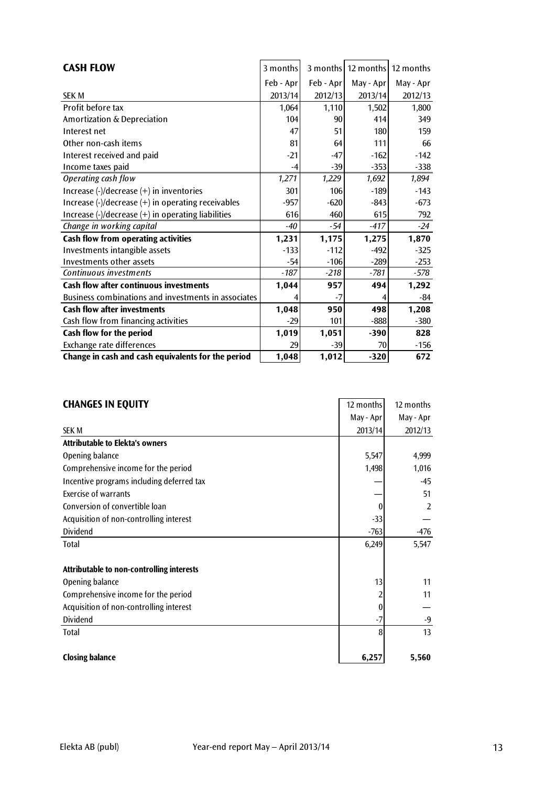| <b>CASH FLOW</b>                                                                                 | 3 months  |           | 3 months   12 months   12 months |           |
|--------------------------------------------------------------------------------------------------|-----------|-----------|----------------------------------|-----------|
|                                                                                                  | Feb - Apr | Feb - Apr | May - Apr                        | May - Apr |
| <b>SEK M</b>                                                                                     | 2013/14   | 2012/13   | 2013/14                          | 2012/13   |
| Profit before tax                                                                                | 1,064     | 1,110     | 1,502                            | 1,800     |
| Amortization & Depreciation                                                                      | 104       | 90        | 414                              | 349       |
| Interest net                                                                                     | 47        | 51        | 180                              | 159       |
| Other non-cash items                                                                             | 81        | 64        | 111                              | 66        |
| Interest received and paid                                                                       | $-21$     | $-47$     | $-162$                           | $-142$    |
| Income taxes paid                                                                                | -4        | $-39$     | $-353$                           | $-338$    |
| Operating cash flow                                                                              | 1,271     | 1,229     | 1,692                            | 1,894     |
| Increase (-)/decrease (+) in inventories                                                         | 301       | 106       | $-189$                           | $-143$    |
| Increase $\left(\frac{1}{2}\right)$ decrease $\left(\frac{1}{2}\right)$ in operating receivables | $-957$    | $-620$    | $-843$                           | $-673$    |
| Increase $\left(\frac{1}{2}\right)$ decrease $\left(\frac{1}{2}\right)$ in operating liabilities | 616       | 460       | 615                              | 792       |
| Change in working capital                                                                        | $-40$     | $-54$     | $-417$                           | $-24$     |
| Cash flow from operating activities                                                              | 1,231     | 1,175     | 1,275                            | 1,870     |
| Investments intangible assets                                                                    | $-133$    | $-112$    | $-492$                           | $-325$    |
| Investments other assets                                                                         | $-54$     | $-106$    | $-289$                           | $-253$    |
| Continuous investments                                                                           | $-187$    | $-218$    | $-781$                           | $-578$    |
| <b>Cash flow after continuous investments</b>                                                    | 1,044     | 957       | 494                              | 1,292     |
| Business combinations and investments in associates                                              |           | $-7$      | 4                                | -84       |
| <b>Cash flow after investments</b>                                                               | 1,048     | 950       | 498                              | 1,208     |
| Cash flow from financing activities                                                              | $-29$     | 101       | $-888$                           | $-380$    |
| Cash flow for the period                                                                         | 1,019     | 1,051     | $-390$                           | 828       |
| Exchange rate differences                                                                        | 29        | $-39$     | 70                               | $-156$    |
| Change in cash and cash equivalents for the period                                               | 1,048     | 1,012     | $-320$                           | 672       |

| <b>CHANGES IN EQUITY</b>                  | 12 months        | 12 months      |
|-------------------------------------------|------------------|----------------|
|                                           | May - Apr        | May - Apr      |
| <b>SEK M</b>                              | 2013/14          | 2012/13        |
| <b>Attributable to Elekta's owners</b>    |                  |                |
| Opening balance                           | 5,547            | 4,999          |
| Comprehensive income for the period       | 1,498            | 1,016          |
| Incentive programs including deferred tax |                  | $-45$          |
| <b>Exercise of warrants</b>               |                  | 51             |
| Conversion of convertible loan            | $\theta$         | $\overline{2}$ |
| Acquisition of non-controlling interest   | $-33$            |                |
| Dividend                                  | $-763$           | $-476$         |
| Total                                     | 6,249            | 5,547          |
|                                           |                  |                |
| Attributable to non-controlling interests |                  |                |
| Opening balance                           | 13               | 11             |
| Comprehensive income for the period       | 2                | 11             |
| Acquisition of non-controlling interest   | $\boldsymbol{0}$ |                |
| Dividend                                  | $-7$             | $-9$           |
| <b>Total</b>                              | 8                | 13             |
|                                           |                  |                |
| <b>Closing balance</b>                    | 6,257            | 5,560          |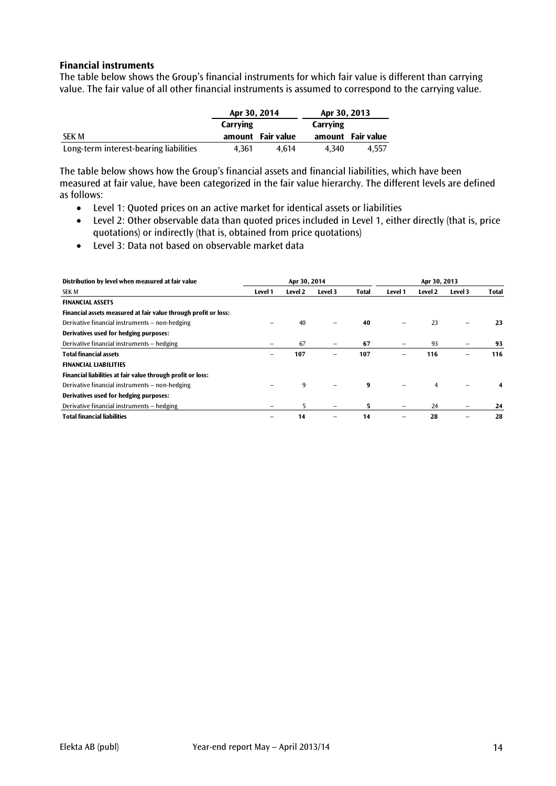#### **Financial instruments**

The table below shows the Group's financial instruments for which fair value is different than carrying value. The fair value of all other financial instruments is assumed to correspond to the carrying value.

|                                        | Apr 30, 2014 |                   | Apr 30, 2013 |                   |
|----------------------------------------|--------------|-------------------|--------------|-------------------|
|                                        | Carrying     |                   | Carrying     |                   |
| SEK M                                  |              | amount Fair value |              | amount Fair value |
| Long-term interest-bearing liabilities | 4.361        | 4.614             | 4.340        | 4.557             |

The table below shows how the Group's financial assets and financial liabilities, which have been measured at fair value, have been categorized in the fair value hierarchy. The different levels are defined as follows:

- Level 1: Quoted prices on an active market for identical assets or liabilities
- Level 2: Other observable data than quoted prices included in Level 1, either directly (that is, price quotations) or indirectly (that is, obtained from price quotations)
- Level 3: Data not based on observable market data

| Distribution by level when measured at fair value               | Apr 30, 2014 |         |         |       | Apr 30, 2013 |         |         |       |  |
|-----------------------------------------------------------------|--------------|---------|---------|-------|--------------|---------|---------|-------|--|
| <b>SEK M</b>                                                    | Level 1      | Level 2 | Level 3 | Total | Level 1      | Level 2 | Level 3 | Total |  |
| <b>FINANCIAL ASSETS</b>                                         |              |         |         |       |              |         |         |       |  |
| Financial assets measured at fair value through profit or loss: |              |         |         |       |              |         |         |       |  |
| Derivative financial instruments – non-hedging                  |              | 40      |         | 40    |              | 23      | -       | 23    |  |
| Derivatives used for hedging purposes:                          |              |         |         |       |              |         |         |       |  |
| Derivative financial instruments - hedging                      |              | 67      |         | 67    |              | 93      |         | 93    |  |
| <b>Total financial assets</b>                                   | -            | 107     |         | 107   |              | 116     | -       | 116   |  |
| <b>FINANCIAL LIABILITIES</b>                                    |              |         |         |       |              |         |         |       |  |
| Financial liabilities at fair value through profit or loss:     |              |         |         |       |              |         |         |       |  |
| Derivative financial instruments - non-hedging                  |              | 9       |         | q     |              | 4       |         |       |  |
| Derivatives used for hedging purposes:                          |              |         |         |       |              |         |         |       |  |
| Derivative financial instruments - hedging                      |              | 5.      | -       | 5.    |              | 24      |         | 24    |  |
| <b>Total financial liabilities</b>                              |              | 14      |         | 14    |              | 28      |         | 28    |  |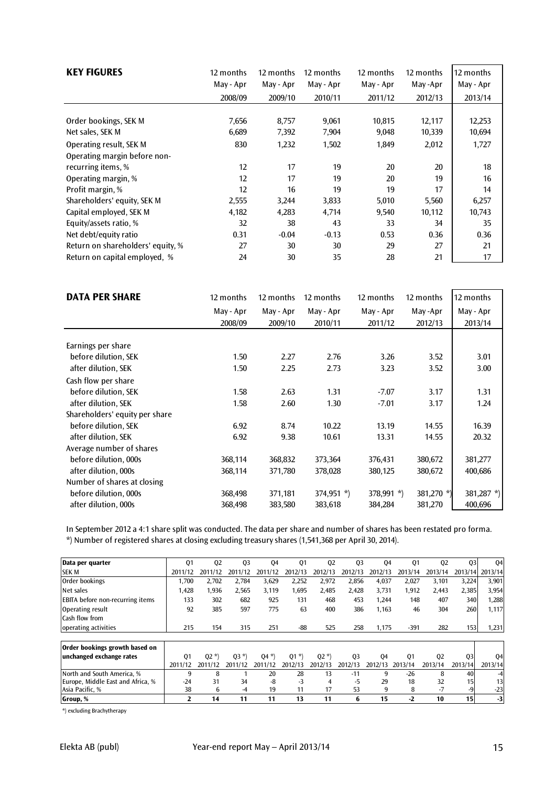| <b>KEY FIGURES</b>                | 12 months | 12 months | 12 months | 12 months | 12 months | 12 months |
|-----------------------------------|-----------|-----------|-----------|-----------|-----------|-----------|
|                                   | May - Apr | May - Apr | May - Apr | May - Apr | May-Apr   | May - Apr |
|                                   | 2008/09   | 2009/10   | 2010/11   | 2011/12   | 2012/13   | 2013/14   |
|                                   |           |           |           |           |           |           |
| Order bookings, SEK M             | 7,656     | 8,757     | 9,061     | 10,815    | 12,117    | 12,253    |
| Net sales, SEK M                  | 6,689     | 7,392     | 7,904     | 9,048     | 10,339    | 10,694    |
| Operating result, SEK M           | 830       | 1,232     | 1,502     | 1,849     | 2,012     | 1,727     |
| Operating margin before non-      |           |           |           |           |           |           |
| recurring items, %                | 12        | 17        | 19        | 20        | 20        | 18        |
| Operating margin, %               | 12        | 17        | 19        | 20        | 19        | 16        |
| Profit margin, %                  | 12        | 16        | 19        | 19        | 17        | 14        |
| Shareholders' equity, SEK M       | 2,555     | 3,244     | 3,833     | 5,010     | 5,560     | 6,257     |
| Capital employed, SEK M           | 4,182     | 4,283     | 4,714     | 9,540     | 10,112    | 10,743    |
| Equity/assets ratio, %            | 32        | 38        | 43        | 33        | 34        | 35        |
| Net debt/equity ratio             | 0.31      | $-0.04$   | $-0.13$   | 0.53      | 0.36      | 0.36      |
| Return on shareholders' equity, % | 27        | 30        | 30        | 29        | 27        | 21        |
| Return on capital employed, %     | 24        | 30        | 35        | 28        | 21        | 17        |

| <b>DATA PER SHARE</b>          | 12 months | 12 months | 12 months    | 12 months     | 12 months  | 12 months     |
|--------------------------------|-----------|-----------|--------------|---------------|------------|---------------|
|                                | May - Apr | May - Apr | May - Apr    | May - Apr     | May -Apr   | May - Apr     |
|                                | 2008/09   | 2009/10   | 2010/11      | 2011/12       | 2012/13    | 2013/14       |
|                                |           |           |              |               |            |               |
| Earnings per share             |           |           |              |               |            |               |
| before dilution, SEK           | 1.50      | 2.27      | 2.76         | 3.26          | 3.52       | 3.01          |
| after dilution, SEK            | 1.50      | 2.25      | 2.73         | 3.23          | 3.52       | 3.00          |
| Cash flow per share            |           |           |              |               |            |               |
| before dilution, SEK           | 1.58      | 2.63      | 1.31         | $-7.07$       | 3.17       | 1.31          |
| after dilution, SEK            | 1.58      | 2.60      | 1.30         | $-7.01$       | 3.17       | 1.24          |
| Shareholders' equity per share |           |           |              |               |            |               |
| before dilution, SEK           | 6.92      | 8.74      | 10.22        | 13.19         | 14.55      | 16.39         |
| after dilution, SEK            | 6.92      | 9.38      | 10.61        | 13.31         | 14.55      | 20.32         |
| Average number of shares       |           |           |              |               |            |               |
| before dilution, 000s          | 368,114   | 368,832   | 373,364      | 376,431       | 380,672    | 381,277       |
| after dilution, 000s           | 368,114   | 371,780   | 378,028      | 380,125       | 380,672    | 400,686       |
| Number of shares at closing    |           |           |              |               |            |               |
| before dilution, 000s          | 368,498   | 371,181   | $374,951$ *) | 378,991 $*$ ) | 381,270 *) | 381,287 $*$ ) |
| after dilution, 000s           | 368,498   | 383,580   | 383,618      | 384,284       | 381,270    | 400,696       |

\*) Number of registered shares at closing excluding treasury shares (1,541,368 per April 30, 2014). In September 2012 a 4:1 share split was conducted. The data per share and number of shares has been restated pro forma.

| Data per quarter                        | Q1      | Q <sub>2</sub> | Q <sub>3</sub> | Q4                       | Q <sub>1</sub> | 02      | Q <sub>3</sub> | 04      | Q1      | Q <sub>2</sub> | Q <sub>3</sub>  | 04              |
|-----------------------------------------|---------|----------------|----------------|--------------------------|----------------|---------|----------------|---------|---------|----------------|-----------------|-----------------|
| <b>SEK M</b>                            | 2011/12 | 2011/12        | 2011/12        | 11/12<br>20 <sup>.</sup> | 2012/13        | 2012/13 | 2012/13        | 2012/13 | 2013/14 | 2013/14        | 2013/14         | 2013/14         |
| Order bookings                          | 1,700   | 2,702          | 2,784          | 3,629                    | 2,252          | 2,972   | 2,856          | 4,037   | 2,027   | 3,101          | 3,224           | 3,901           |
| Net sales                               | 1,428   | 1,936          | 2,565          | 3.119                    | 1,695          | 2.485   | 2.428          | 3,731   | 1,912   | 2.443          | 2,385           | 3,954           |
| <b>EBITA</b> before non-recurring items | 133     | 302            | 682            | 925                      | 131            | 468     | 453            | 1,244   | 148     | 407            | 340             | 1,288           |
| Operating result                        | 92      | 385            | 597            | 775                      | 63             | 400     | 386            | 1,163   | 46      | 304            | 260             | 1,117           |
| Cash flow from                          |         |                |                |                          |                |         |                |         |         |                |                 |                 |
| operating activities                    | 215     | 154            | 315            | 251                      | -88            | 525     | 258            | 1,175   | $-391$  | 282            | 153             | 1,231           |
|                                         |         |                |                |                          |                |         |                |         |         |                |                 |                 |
| Order bookings growth based on          |         |                |                |                          |                |         |                |         |         |                |                 |                 |
| unchanged exchange rates                | 01      | $02 *$         | $(03*)$        | $(04*)$                  | $01 *$         | $02 *$  | Q <sub>3</sub> | Q4      | 01      | Q <sub>2</sub> | Q <sub>3</sub>  | 04              |
|                                         | 2011/12 | 2011/12        | 2011/12        | 2011/12                  | 2012/13        | 2012/13 | 201<br>2/13    | 2012/13 | 2013/14 | 2013/14        | 2013/14         | 2013/14         |
| North and South America, %              | 9       | 8              |                | 20                       | 28             | 13      | $-11$          | 9       | $-26$   | 8              | 40              | -4              |
| Europe, Middle East and Africa, %       | $-24$   | 31             | 34             | -8                       | -3             | 4       | -5             | 29      | 18      | 32             | 15              | 13 <sub>1</sub> |
| Asia Pacific, %                         | 38      | 6              | -4             | 19                       | 11             | 17      | 53             | 9       | 8       | -7             | $-9$            | $-23$           |
| Group, %                                | 2       | 14             | 11             | 11                       | 13             | 11      | 6              | 15      | $-2$    | 10             | 15 <sup>1</sup> | $-3$            |

\*) excluding Brachytherapy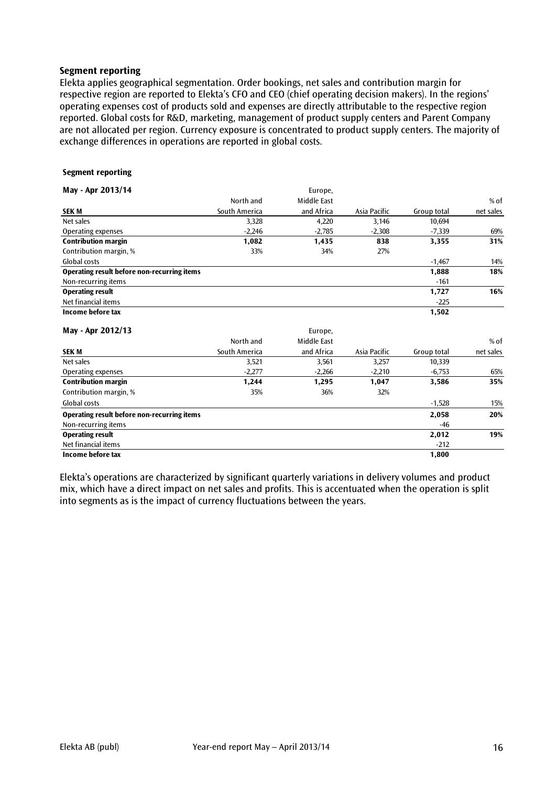#### **Segment reporting**

Elekta applies geographical segmentation. Order bookings, net sales and contribution margin for respective region are reported to Elekta's CFO and CEO (chief operating decision makers). In the regions' operating expenses cost of products sold and expenses are directly attributable to the respective region reported. Global costs for R&D, marketing, management of product supply centers and Parent Company are not allocated per region. Currency exposure is concentrated to product supply centers. The majority of exchange differences in operations are reported in global costs.

#### **Segment reporting**

| May - Apr 2013/14                           |               | Europe,     |              |             |           |
|---------------------------------------------|---------------|-------------|--------------|-------------|-----------|
|                                             | North and     | Middle East |              |             | $%$ of    |
| <b>SEKM</b>                                 | South America | and Africa  | Asia Pacific | Group total | net sales |
| Net sales                                   | 3,328         | 4,220       | 3,146        | 10,694      |           |
| Operating expenses                          | $-2,246$      | $-2,785$    | $-2,308$     | $-7,339$    | 69%       |
| <b>Contribution margin</b>                  | 1,082         | 1,435       | 838          | 3,355       | 31%       |
| Contribution margin, %                      | 33%           | 34%         | 27%          |             |           |
| Global costs                                |               |             |              | $-1,467$    | 14%       |
| Operating result before non-recurring items |               |             |              | 1,888       | 18%       |
| Non-recurring items                         |               |             |              | $-161$      |           |
| <b>Operating result</b>                     |               |             |              | 1,727       | 16%       |
| Net financial items                         |               |             |              | $-225$      |           |
| Income before tax                           |               |             |              | 1,502       |           |
| May - Apr 2012/13                           |               | Europe,     |              |             |           |
|                                             | North and     | Middle East |              |             | % of      |
| <b>SEKM</b>                                 | South America | and Africa  | Asia Pacific | Group total | net sales |
| Net sales                                   | 3,521         | 3,561       | 3,257        | 10,339      |           |
| Operating expenses                          | $-2,277$      | $-2,266$    | $-2,210$     | $-6,753$    | 65%       |
| <b>Contribution margin</b>                  | 1,244         | 1,295       | 1,047        | 3,586       | 35%       |
| Contribution margin, %                      | 35%           | 36%         | 32%          |             |           |
| <b>Global costs</b>                         |               |             |              | $-1,528$    | 15%       |
| Operating result before non-recurring items |               |             |              | 2,058       | 20%       |
| Non-recurring items                         |               |             |              | $-46$       |           |

Net financial items  $-212$ **Income before tax 1,800**

Elekta's operations are characterized by significant quarterly variations in delivery volumes and product mix, which have a direct impact on net sales and profits. This is accentuated when the operation is split into segments as is the impact of currency fluctuations between the years.

**Operating result 2,012 19%**